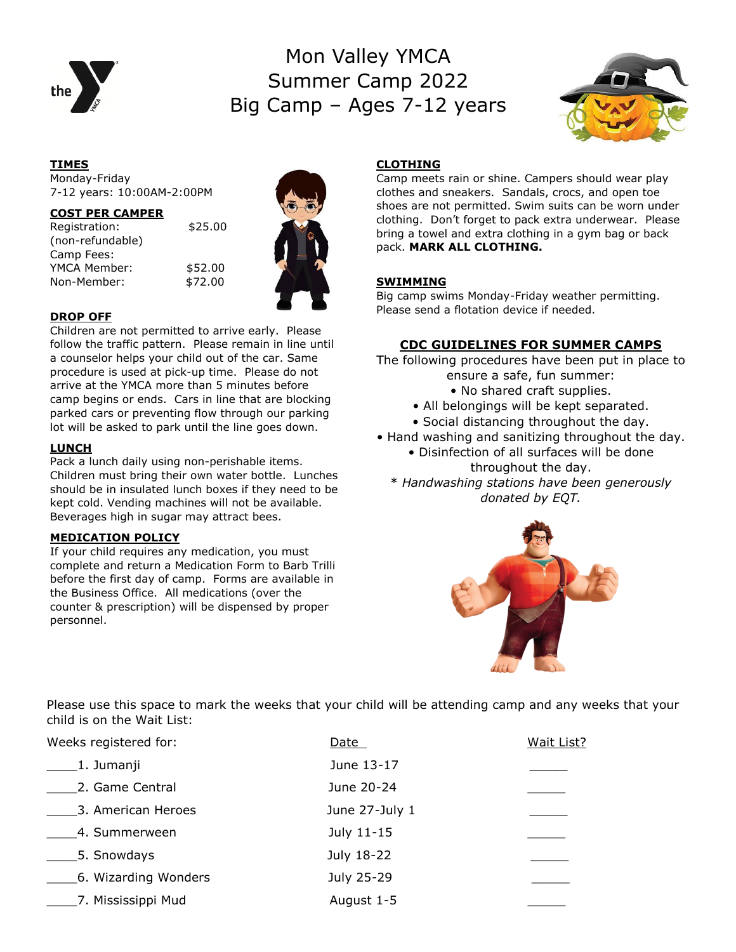

# Mon Valley YMCA Summer Camp 2022 Big Camp – Ages 7-12 years



#### **TIMES** Monday-Friday 7-12 years: 10:00AM-2:00PM

#### **COST PER CAMPER**

Registration: \$25.00 (non-refundable) Camp Fees: YMCA Member: \$52.00 Non-Member: \$72.00





#### **DROP OFF**

Children are not permitted to arrive early. Please follow the traffic pattern. Please remain in line until a counselor helps your child out of the car. Same procedure is used at pick-up time. Please do not arrive at the YMCA more than 5 minutes before camp begins or ends. Cars in line that are blocking parked cars or preventing flow through our parking lot will be asked to park until the line goes down.

#### **LUNCH**

Pack a lunch daily using non-perishable items. Children must bring their own water bottle. Lunches should be in insulated lunch boxes if they need to be kept cold. Vending machines will not be available. Beverages high in sugar may attract bees.

### **MEDICATION POLICY**

If your child requires any medication, you must complete and return a Medication Form to Barb Trilli before the first day of camp. Forms are available in the Business Office. All medications (over the counter & prescription) will be dispensed by proper personnel.

## **CLOTHING**

Camp meets rain or shine. Campers should wear play clothes and sneakers. Sandals, crocs, and open toe shoes are not permitted. Swim suits can be worn under clothing. Don't forget to pack extra underwear. Please bring a towel and extra clothing in a gym bag or back pack. **MARK ALL CLOTHING.** 

## **SWIMMING**

Big camp swims Monday-Friday weather permitting. Please send a flotation device if needed.

### **CDC GUIDELINES FOR SUMMER CAMPS**

The following procedures have been put in place to ensure a safe, fun summer:

- No shared craft supplies.
- All belongings will be kept separated.
- Social distancing throughout the day.
- Hand washing and sanitizing throughout the day. • Disinfection of all surfaces will be done
	- throughout the day.

\* *Handwashing stations have been generously donated by EQT.*



Please use this space to mark the weeks that your child will be attending camp and any weeks that your child is on the Wait List:

| Weeks registered for: | Date           | Wait List? |
|-----------------------|----------------|------------|
| 1. Jumanji            | June 13-17     |            |
| 2. Game Central       | June 20-24     |            |
| 3. American Heroes    | June 27-July 1 |            |
| 4. Summerween         | July 11-15     |            |
| 5. Snowdays           | July 18-22     |            |
| 6. Wizarding Wonders  | July 25-29     |            |
| 7. Mississippi Mud    | August 1-5     |            |